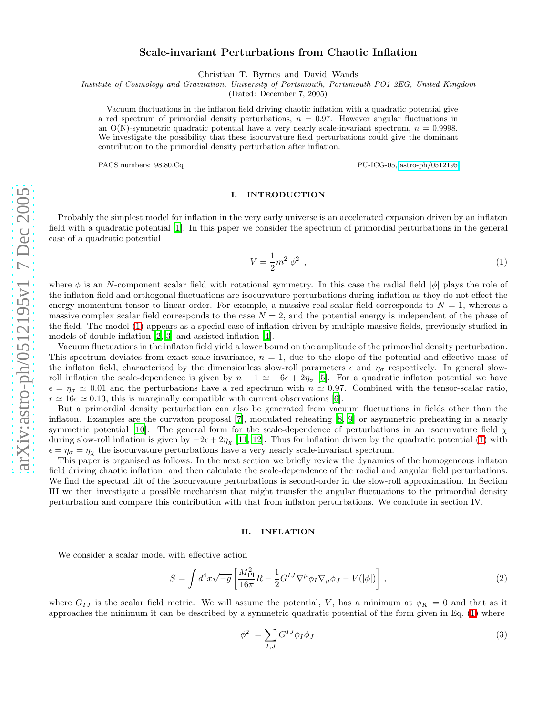# Scale-invariant Perturbations from Chaotic Inflation

Christian T. Byrnes and David Wands

Institute of Cosmology and Gravitation, University of Portsmouth, Portsmouth PO1 2EG, United Kingdom

(Dated: December 7, 2005)

Vacuum fluctuations in the inflaton field driving chaotic inflation with a quadratic potential give a red spectrum of primordial density perturbations,  $n = 0.97$ . However angular fluctuations in an O(N)-symmetric quadratic potential have a very nearly scale-invariant spectrum,  $n = 0.9998$ . We investigate the possibility that these isocurvature field perturbations could give the dominant contribution to the primordial density perturbation after inflation.

PACS numbers:  $98.80 \text{ Cq}$  PU-ICG-05, [astro-ph/0512195](http://arXiv.org/abs/astro-ph/0512195)

### I. INTRODUCTION

<span id="page-0-0"></span>Probably the simplest model for inflation in the very early universe is an accelerated expansion driven by an inflaton field with a quadratic potential [\[1\]](#page-9-0). In this paper we consider the spectrum of primordial perturbations in the general case of a quadratic potential

$$
V = \frac{1}{2}m^2|\phi^2| \,,\tag{1}
$$

where  $\phi$  is an N-component scalar field with rotational symmetry. In this case the radial field  $|\phi|$  plays the role of the inflaton field and orthogonal fluctuations are isocurvature perturbations during inflation as they do not effect the energy-momentum tensor to linear order. For example, a massive real scalar field corresponds to  $N = 1$ , whereas a massive complex scalar field corresponds to the case  $N = 2$ , and the potential energy is independent of the phase of the field. The model [\(1\)](#page-0-0) appears as a special case of inflation driven by multiple massive fields, previously studied in models of double inflation [\[2](#page-9-1), [3](#page-9-2)] and assisted inflation [\[4](#page-9-3)].

Vacuum fluctuations in the inflaton field yield a lower bound on the amplitude of the primordial density perturbation. This spectrum deviates from exact scale-invariance,  $n = 1$ , due to the slope of the potential and effective mass of the inflaton field, characterised by the dimensionless slow-roll parameters  $\epsilon$  and  $\eta_{\sigma}$  respectively. In general slowroll inflation the scale-dependence is given by  $n - 1 \simeq -6\epsilon + 2\eta_{\sigma}$  [\[5](#page-9-4)]. For a quadratic inflaton potential we have  $\epsilon = \eta_{\sigma} \simeq 0.01$  and the perturbations have a red spectrum with  $n \simeq 0.97$ . Combined with the t

But a primordial density perturbation can also be generated from vacuum fluctuations in fields other than the inflaton. Examples are the curvaton proposal [\[7](#page-9-6)], modulated reheating [\[8](#page-9-7), [9\]](#page-9-8) or asymmetric preheating in a nearly symmetric potential [\[10](#page-9-9)]. The general form for the scale-dependence of perturbations in an isocurvature field  $\chi$ during slow-roll inflation is given by  $-2\epsilon + 2\eta_\chi$  [\[11,](#page-9-10) [12\]](#page-9-11). Thus for inflation driven by the quadratic potential [\(1\)](#page-0-0) with  $\epsilon = \eta_{\sigma} = \eta_{\chi}$  the isocurvature perturbations have a very nearly scale-invariant spectrum.

This paper is organised as follows. In the next section we briefly review the dynamics of the homogeneous inflaton field driving chaotic inflation, and then calculate the scale-dependence of the radial and angular field perturbations. We find the spectral tilt of the isocurvature perturbations is second-order in the slow-roll approximation. In Section III we then investigate a possible mechanism that might transfer the angular fluctuations to the primordial density perturbation and compare this contribution with that from inflaton perturbations. We conclude in section IV.

### II. INFLATION

We consider a scalar model with effective action

$$
S = \int d^4x \sqrt{-g} \left[ \frac{M_{\rm Pl}^2}{16\pi} R - \frac{1}{2} G^{IJ} \nabla^\mu \phi_I \nabla_\mu \phi_J - V(|\phi|) \right] \,, \tag{2}
$$

where  $G_{IJ}$  is the scalar field metric. We will assume the potential, V, has a minimum at  $\phi_K = 0$  and that as it approaches the minimum it can be described by a symmetric quadratic potential of the form given in Eq. [\(1\)](#page-0-0) where

$$
|\phi^2| = \sum_{I,J} G^{IJ} \phi_I \phi_J \,. \tag{3}
$$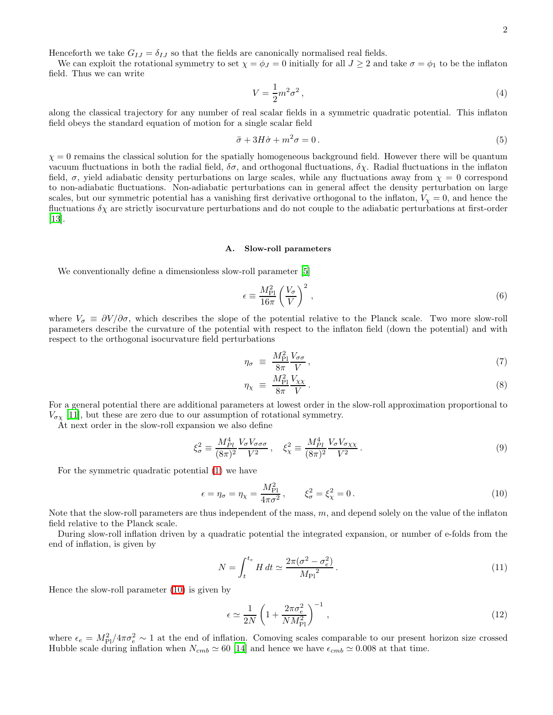Henceforth we take  $G_{IJ} = \delta_{IJ}$  so that the fields are canonically normalised real fields.

We can exploit the rotational symmetry to set  $\chi = \phi_J = 0$  initially for all  $J \geq 2$  and take  $\sigma = \phi_1$  to be the inflaton field. Thus we can write

<span id="page-1-1"></span>
$$
V = \frac{1}{2}m^2\sigma^2\,,\tag{4}
$$

along the classical trajectory for any number of real scalar fields in a symmetric quadratic potential. This inflaton field obeys the standard equation of motion for a single scalar field

$$
\ddot{\sigma} + 3H\dot{\sigma} + m^2 \sigma = 0. \tag{5}
$$

 $\chi = 0$  remains the classical solution for the spatially homogeneous background field. However there will be quantum vacuum fluctuations in both the radial field,  $\delta\sigma$ , and orthogonal fluctuations,  $\delta\chi$ . Radial fluctuations in the inflaton field,  $\sigma$ , yield adiabatic density perturbations on large scales, while any fluctuations away from  $\chi = 0$  correspond to non-adiabatic fluctuations. Non-adiabatic perturbations can in general affect the density perturbation on large scales, but our symmetric potential has a vanishing first derivative orthogonal to the inflaton,  $V_x = 0$ , and hence the fluctuations  $\delta \chi$  are strictly isocurvature perturbations and do not couple to the adiabatic perturbations at first-order [\[13\]](#page-9-12).

## A. Slow-roll parameters

We conventionally define a dimensionless slow-roll parameter [\[5](#page-9-4)]

$$
\epsilon \equiv \frac{M_{\rm Pl}^2}{16\pi} \left(\frac{V_\sigma}{V}\right)^2 \,,\tag{6}
$$

where  $V_{\sigma} \equiv \partial V/\partial \sigma$ , which describes the slope of the potential relative to the Planck scale. Two more slow-roll parameters describe the curvature of the potential with respect to the inflaton field (down the potential) and with respect to the orthogonal isocurvature field perturbations

$$
\eta_{\sigma} \equiv \frac{M_{\rm Pl}^2}{8\pi} \frac{V_{\sigma\sigma}}{V} \,, \tag{7}
$$

$$
\eta_{\chi} \equiv \frac{M_{\rm Pl}^2}{8\pi} \frac{V_{\chi\chi}}{V} \,. \tag{8}
$$

For a general potential there are additional parameters at lowest order in the slow-roll approximation proportional to  $V_{\sigma_X}$  [\[11](#page-9-10)], but these are zero due to our assumption of rotational symmetry.

At next order in the slow-roll expansion we also define

<span id="page-1-0"></span>
$$
\xi_{\sigma}^{2} \equiv \frac{M_{Pl}^{4}}{(8\pi)^{2}} \frac{V_{\sigma} V_{\sigma\sigma\sigma}}{V^{2}}, \quad \xi_{\chi}^{2} \equiv \frac{M_{Pl}^{4}}{(8\pi)^{2}} \frac{V_{\sigma} V_{\sigma\chi\chi}}{V^{2}}.
$$
\n(9)

For the symmetric quadratic potential [\(1\)](#page-0-0) we have

$$
\epsilon = \eta_{\sigma} = \eta_{\chi} = \frac{M_{\rm Pl}^2}{4\pi\sigma^2}, \qquad \xi_{\sigma}^2 = \xi_{\chi}^2 = 0.
$$
 (10)

Note that the slow-roll parameters are thus independent of the mass,  $m$ , and depend solely on the value of the inflaton field relative to the Planck scale.

<span id="page-1-2"></span>During slow-roll inflation driven by a quadratic potential the integrated expansion, or number of e-folds from the end of inflation, is given by

$$
N = \int_{t}^{t_e} H dt \simeq \frac{2\pi(\sigma^2 - \sigma_e^2)}{M_{\text{Pl}}^2} \,. \tag{11}
$$

Hence the slow-roll parameter [\(10\)](#page-1-0) is given by

$$
\epsilon \simeq \frac{1}{2N} \left( 1 + \frac{2\pi\sigma_e^2}{N M_{\rm Pl}^2} \right)^{-1} , \qquad (12)
$$

where  $\epsilon_e = M_{\text{Pl}}^2/4\pi\sigma_e^2 \sim 1$  at the end of inflation. Comoving scales comparable to our present horizon size crossed Hubble scale during inflation when  $N_{cmb} \simeq 60$  [\[14](#page-9-13)] and hence we have  $\epsilon_{cmb} \simeq 0.008$  at that time.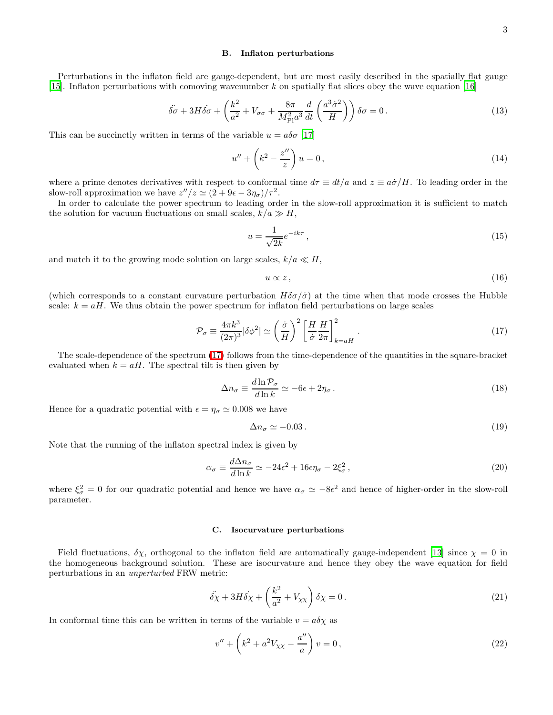#### B. Inflaton perturbations

Perturbations in the inflaton field are gauge-dependent, but are most easily described in the spatially flat gauge [\[15\]](#page-9-14). Inflaton perturbations with comoving wavenumber k on spatially flat slices obey the wave equation [\[16\]](#page-9-15)

$$
\ddot{\delta\sigma} + 3H\dot{\delta\sigma} + \left(\frac{k^2}{a^2} + V_{\sigma\sigma} + \frac{8\pi}{M_{\rm Pl}^2 a^3} \frac{d}{dt} \left(\frac{a^3 \dot{\sigma}^2}{H}\right)\right) \delta\sigma = 0. \tag{13}
$$

This can be succinctly written in terms of the variable  $u = a\delta\sigma$  [\[17](#page-9-16)]

$$
u'' + \left(k^2 - \frac{z''}{z}\right)u = 0,\t\t(14)
$$

where a prime denotes derivatives with respect to conformal time  $d\tau \equiv dt/a$  and  $z \equiv a\dot{\sigma}/H$ . To leading order in the slow-roll approximation we have  $z''/z \simeq (2 + 9\epsilon - 3\eta_{\sigma})/\tau^2$ .

In order to calculate the power spectrum to leading order in the slow-roll approximation it is sufficient to match the solution for vacuum fluctuations on small scales,  $k/a \gg H$ ,

<span id="page-2-2"></span>
$$
u = \frac{1}{\sqrt{2k}} e^{-ik\tau},\tag{15}
$$

and match it to the growing mode solution on large scales,  $k/a \ll H$ ,

<span id="page-2-0"></span>
$$
u \propto z \,,\tag{16}
$$

(which corresponds to a constant curvature perturbation  $H\delta\sigma/\dot{\sigma}$ ) at the time when that mode crosses the Hubble scale:  $k = aH$ . We thus obtain the power spectrum for inflaton field perturbations on large scales

$$
\mathcal{P}_{\sigma} \equiv \frac{4\pi k^3}{(2\pi)^3} |\delta\phi^2| \simeq \left(\frac{\dot{\sigma}}{H}\right)^2 \left[\frac{H}{\dot{\sigma}} \frac{H}{2\pi}\right]_{k=aH}^2.
$$
\n(17)

The scale-dependence of the spectrum [\(17\)](#page-2-0) follows from the time-dependence of the quantities in the square-bracket evaluated when  $k = aH$ . The spectral tilt is then given by

<span id="page-2-3"></span>
$$
\Delta n_{\sigma} \equiv \frac{d \ln \mathcal{P}_{\sigma}}{d \ln k} \simeq -6\epsilon + 2\eta_{\sigma} \,. \tag{18}
$$

Hence for a quadratic potential with  $\epsilon = \eta_{\sigma} \simeq 0.008$  we have

$$
\Delta n_{\sigma} \simeq -0.03 \,. \tag{19}
$$

Note that the running of the inflaton spectral index is given by

$$
\alpha_{\sigma} \equiv \frac{d\Delta n_{\sigma}}{d\ln k} \simeq -24\epsilon^2 + 16\epsilon\eta_{\sigma} - 2\xi_{\sigma}^2, \qquad (20)
$$

where  $\xi_{\sigma}^2 = 0$  for our quadratic potential and hence we have  $\alpha_{\sigma} \simeq -8\epsilon^2$  and hence of higher-order in the slow-roll parameter.

## C. Isocurvature perturbations

Field fluctuations,  $\delta \chi$ , orthogonal to the inflaton field are automatically gauge-independent [\[13](#page-9-12)] since  $\chi = 0$  in the homogeneous background solution. These are isocurvature and hence they obey the wave equation for field perturbations in an unperturbed FRW metric:

$$
\ddot{\delta \chi} + 3H \dot{\delta \chi} + \left(\frac{k^2}{a^2} + V_{\chi \chi}\right) \delta \chi = 0. \tag{21}
$$

In conformal time this can be written in terms of the variable  $v = a\delta\chi$  as

<span id="page-2-1"></span>
$$
v'' + \left(k^2 + a^2 V_{\chi\chi} - \frac{a''}{a}\right)v = 0,
$$
\n(22)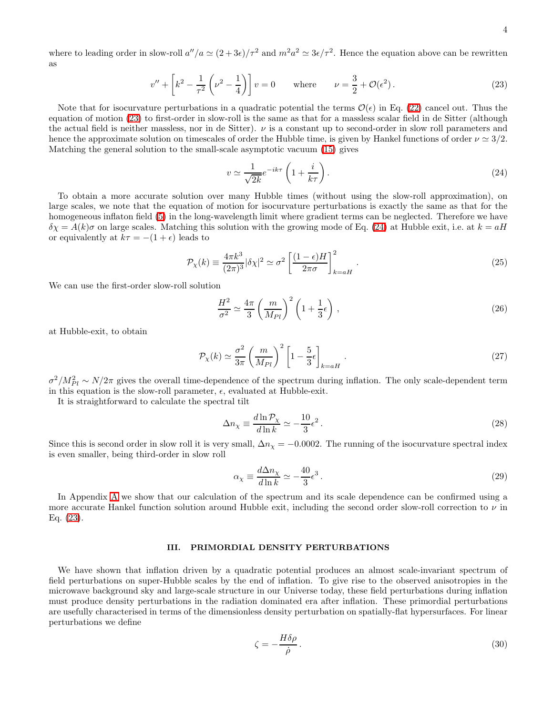where to leading order in slow-roll  $a''/a \simeq (2+3\epsilon)/\tau^2$  and  $m^2a^2 \simeq 3\epsilon/\tau^2$ . Hence the equation above can be rewritten as

$$
v'' + \left[k^2 - \frac{1}{\tau^2} \left(\nu^2 - \frac{1}{4}\right)\right] v = 0 \quad \text{where} \quad \nu = \frac{3}{2} + \mathcal{O}(\epsilon^2). \tag{23}
$$

<span id="page-3-0"></span>Note that for isocurvature perturbations in a quadratic potential the terms  $\mathcal{O}(\epsilon)$  in Eq. [\(22\)](#page-2-1) cancel out. Thus the equation of motion [\(23\)](#page-3-0) to first-order in slow-roll is the same as that for a massless scalar field in de Sitter (although the actual field is neither massless, nor in de Sitter).  $\nu$  is a constant up to second-order in slow roll parameters and hence the approximate solution on timescales of order the Hubble time, is given by Hankel functions of order  $\nu \approx 3/2$ . Matching the general solution to the small-scale asymptotic vacuum [\(15\)](#page-2-2) gives

<span id="page-3-1"></span>
$$
v \simeq \frac{1}{\sqrt{2k}} e^{-ik\tau} \left( 1 + \frac{i}{k\tau} \right). \tag{24}
$$

To obtain a more accurate solution over many Hubble times (without using the slow-roll approximation), on large scales, we note that the equation of motion for isocurvature perturbations is exactly the same as that for the homogeneous inflaton field [\(5\)](#page-1-1) in the long-wavelength limit where gradient terms can be neglected. Therefore we have  $\delta \chi = A(k)\sigma$  on large scales. Matching this solution with the growing mode of Eq. [\(24\)](#page-3-1) at Hubble exit, i.e. at  $k = aH$ or equivalently at  $k\tau = -(1 + \epsilon)$  leads to

$$
\mathcal{P}_{\chi}(k) \equiv \frac{4\pi k^3}{(2\pi)^3} |\delta \chi|^2 \simeq \sigma^2 \left[ \frac{(1-\epsilon)H}{2\pi\sigma} \right]_{k=aH}^2.
$$
\n(25)

We can use the first-order slow-roll solution

$$
\frac{H^2}{\sigma^2} \simeq \frac{4\pi}{3} \left(\frac{m}{M_{Pl}}\right)^2 \left(1 + \frac{1}{3}\epsilon\right),\tag{26}
$$

at Hubble-exit, to obtain

<span id="page-3-3"></span>
$$
\mathcal{P}_{\chi}(k) \simeq \frac{\sigma^2}{3\pi} \left(\frac{m}{M_{Pl}}\right)^2 \left[1 - \frac{5}{3}\epsilon\right]_{k=aH} . \tag{27}
$$

 $\sigma^2/M_{Pl}^2 \sim N/2\pi$  gives the overall time-dependence of the spectrum during inflation. The only scale-dependent term in this equation is the slow-roll parameter,  $\epsilon$ , evaluated at Hubble-exit.

It is straightforward to calculate the spectral tilt

$$
\Delta n_{\chi} \equiv \frac{d \ln \mathcal{P}_{\chi}}{d \ln k} \simeq -\frac{10}{3} \epsilon^2 \,. \tag{28}
$$

Since this is second order in slow roll it is very small,  $\Delta n_{\chi} = -0.0002$ . The running of the isocurvature spectral index is even smaller, being third-order in slow roll

$$
\alpha_{\chi} \equiv \frac{d\Delta n_{\chi}}{d\ln k} \simeq -\frac{40}{3}\epsilon^3. \tag{29}
$$

In Appendix [A](#page-8-0) we show that our calculation of the spectrum and its scale dependence can be confirmed using a more accurate Hankel function solution around Hubble exit, including the second order slow-roll correction to  $\nu$  in Eq. [\(23\)](#page-3-0).

## III. PRIMORDIAL DENSITY PERTURBATIONS

<span id="page-3-2"></span>We have shown that inflation driven by a quadratic potential produces an almost scale-invariant spectrum of field perturbations on super-Hubble scales by the end of inflation. To give rise to the observed anisotropies in the microwave background sky and large-scale structure in our Universe today, these field perturbations during inflation must produce density perturbations in the radiation dominated era after inflation. These primordial perturbations are usefully characterised in terms of the dimensionless density perturbation on spatially-flat hypersurfaces. For linear perturbations we define

$$
\zeta = -\frac{H\delta\rho}{\dot{\rho}}.\tag{30}
$$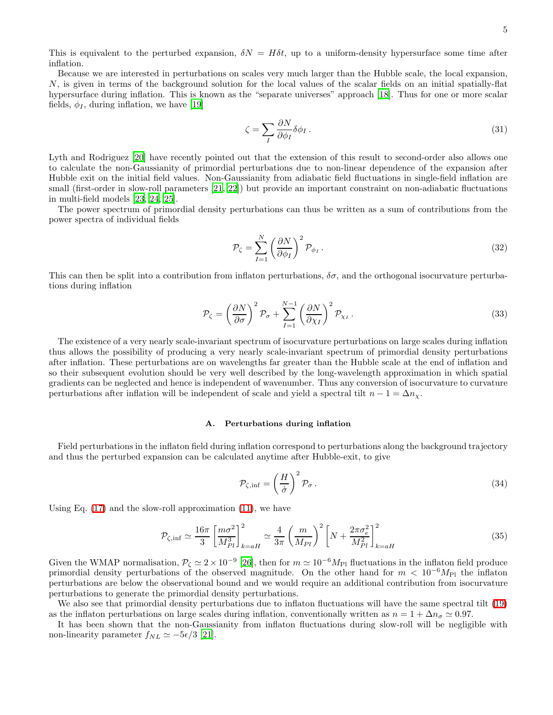This is equivalent to the perturbed expansion,  $\delta N = H \delta t$ , up to a uniform-density hypersurface some time after inflation.

Because we are interested in perturbations on scales very much larger than the Hubble scale, the local expansion, N, is given in terms of the background solution for the local values of the scalar fields on an initial spatially-flat hypersurface during inflation. This is known as the "separate universes" approach [\[18](#page-9-17)]. Thus for one or more scalar fields,  $\phi_I$ , during inflation, we have [\[19\]](#page-9-18)

$$
\zeta = \sum_{I} \frac{\partial N}{\partial \phi_{I}} \delta \phi_{I} \,. \tag{31}
$$

Lyth and Rodriguez [\[20](#page-9-19)] have recently pointed out that the extension of this result to second-order also allows one to calculate the non-Gaussianity of primordial perturbations due to non-linear dependence of the expansion after Hubble exit on the initial field values. Non-Gaussianity from adiabatic field fluctuations in single-field inflation are small (first-order in slow-roll parameters [\[21,](#page-9-20) [22\]](#page-9-21)) but provide an important constraint on non-adiabatic fluctuations in multi-field models [\[23,](#page-9-22) [24,](#page-9-23) [25\]](#page-9-24).

The power spectrum of primordial density perturbations can thus be written as a sum of contributions from the power spectra of individual fields

$$
\mathcal{P}_{\zeta} = \sum_{I=1}^{N} \left(\frac{\partial N}{\partial \phi_{I}}\right)^{2} \mathcal{P}_{\phi_{I}}.
$$
\n(32)

<span id="page-4-0"></span>This can then be split into a contribution from inflaton perturbations,  $\delta\sigma$ , and the orthogonal isocurvature perturbations during inflation

$$
\mathcal{P}_{\zeta} = \left(\frac{\partial N}{\partial \sigma}\right)^2 \mathcal{P}_{\sigma} + \sum_{I=1}^{N-1} \left(\frac{\partial N}{\partial \chi_I}\right)^2 \mathcal{P}_{\chi_I}.
$$
\n(33)

The existence of a very nearly scale-invariant spectrum of isocurvature perturbations on large scales during inflation thus allows the possibility of producing a very nearly scale-invariant spectrum of primordial density perturbations after inflation. These perturbations are on wavelengths far greater than the Hubble scale at the end of inflation and so their subsequent evolution should be very well described by the long-wavelength approximation in which spatial gradients can be neglected and hence is independent of wavenumber. Thus any conversion of isocurvature to curvature perturbations after inflation will be independent of scale and yield a spectral tilt  $n - 1 = \Delta n_x$ .

### A. Perturbations during inflation

Field perturbations in the inflaton field during inflation correspond to perturbations along the background trajectory and thus the perturbed expansion can be calculated anytime after Hubble-exit, to give

<span id="page-4-1"></span>
$$
\mathcal{P}_{\zeta,\inf} = \left(\frac{H}{\dot{\sigma}}\right)^2 \mathcal{P}_{\sigma} \,. \tag{34}
$$

Using Eq.  $(17)$  and the slow-roll approximation  $(11)$ , we have

$$
\mathcal{P}_{\zeta,\inf} \simeq \frac{16\pi}{3} \left[ \frac{m\sigma^2}{M_{Pl}^3} \right]_{k=aH}^2 \simeq \frac{4}{3\pi} \left( \frac{m}{M_{Pl}} \right)^2 \left[ N + \frac{2\pi\sigma_e^2}{M_{Pl}^2} \right]_{k=aH}^2 \tag{35}
$$

Given the WMAP normalisation,  $P_{\zeta} \simeq 2 \times 10^{-9}$  [\[26\]](#page-9-25), then for  $m \simeq 10^{-6} M_{\text{Pl}}$  fluctuations in the inflaton field produce primordial density perturbations of the observed magnitude. On the other hand for  $m < 10^{-6} M_{\rm Pl}$  the inflaton perturbations are below the observational bound and we would require an additional contribution from isocurvature perturbations to generate the primordial density perturbations.

We also see that primordial density perturbations due to inflaton fluctuations will have the same spectral tilt [\(19\)](#page-2-3) as the inflaton perturbations on large scales during inflation, conventionally written as  $n = 1 + \Delta n_{\sigma} \simeq 0.97$ .

It has been shown that the non-Gaussianity from inflaton fluctuations during slow-roll will be negligible with non-linearity parameter  $f_{NL} \simeq -5\epsilon/3$  [\[21](#page-9-20)].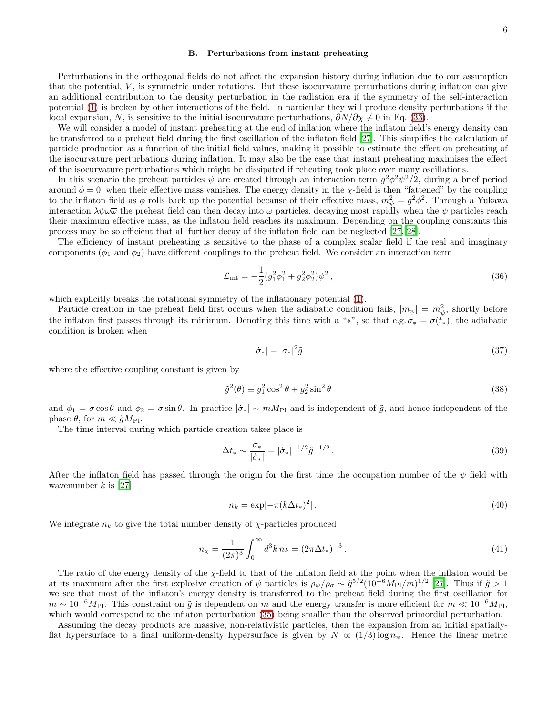### B. Perturbations from instant preheating

Perturbations in the orthogonal fields do not affect the expansion history during inflation due to our assumption that the potential,  $V$ , is symmetric under rotations. But these isocurvature perturbations during inflation can give an additional contribution to the density perturbation in the radiation era if the symmetry of the self-interaction potential [\(1\)](#page-0-0) is broken by other interactions of the field. In particular they will produce density perturbations if the local expansion, N, is sensitive to the initial isocurvature perturbations,  $\partial N/\partial \chi \neq 0$  in Eq. [\(33\)](#page-4-0).

We will consider a model of instant preheating at the end of inflation where the inflaton field's energy density can be transferred to a preheat field during the first oscillation of the inflaton field [\[27\]](#page-9-26). This simplifies the calculation of particle production as a function of the initial field values, making it possible to estimate the effect on preheating of the isocurvature perturbations during inflation. It may also be the case that instant preheating maximises the effect of the isocurvature perturbations which might be dissipated if reheating took place over many oscillations.

In this scenario the preheat particles  $\psi$  are created through an interaction term  $g^2\phi^2\psi^2/2$ , during a brief period around  $\phi = 0$ , when their effective mass vanishes. The energy density in the  $\chi$ -field is then "fattened" by the coupling to the inflaton field as  $\phi$  rolls back up the potential because of their effective mass,  $m_{\psi}^2 = g^2 \phi^2$ . Through a Yukawa interaction  $\lambda\psi\omega\overline{\omega}$  the preheat field can then decay into  $\omega$  particles, decaying most rapidly when the  $\psi$  particles reach their maximum effective mass, as the inflaton field reaches its maximum. Depending on the coupling constants this process may be so efficient that all further decay of the inflaton field can be neglected [\[27,](#page-9-26) [28\]](#page-9-27).

The efficiency of instant preheating is sensitive to the phase of a complex scalar field if the real and imaginary components  $(\phi_1 \text{ and } \phi_2)$  have different couplings to the preheat field. We consider an interaction term

<span id="page-5-0"></span>
$$
\mathcal{L}_{\text{int}} = -\frac{1}{2} (g_1^2 \phi_1^2 + g_2^2 \phi_2^2) \psi^2 \,, \tag{36}
$$

which explicitly breaks the rotational symmetry of the inflationary potential [\(1\)](#page-0-0).

Particle creation in the preheat field first occurs when the adiabatic condition fails,  $|\dot{m}_{\psi}| = m_{\psi}^2$ , shortly before the inflaton first passes through its minimum. Denoting this time with a "\*", so that e.g.  $\sigma_* = \sigma(t_*)$ , the adiabatic condition is broken when

$$
|\dot{\sigma}_*| = |\sigma_*|^2 \tilde{g} \tag{37}
$$

where the effective coupling constant is given by

$$
\tilde{g}^2(\theta) \equiv g_1^2 \cos^2 \theta + g_2^2 \sin^2 \theta \tag{38}
$$

and  $\phi_1 = \sigma \cos \theta$  and  $\phi_2 = \sigma \sin \theta$ . In practice  $|\dot{\sigma}_*| \sim m M_{\text{Pl}}$  and is independent of  $\tilde{g}$ , and hence independent of the phase  $\theta$ , for  $m \ll \tilde{q}M_{\rm Pl}$ .

The time interval during which particle creation takes place is

$$
\Delta t_* \sim \frac{\sigma_*}{|\dot{\sigma}_*|} = |\dot{\sigma}_*|^{-1/2} \tilde{g}^{-1/2} \,. \tag{39}
$$

After the inflaton field has passed through the origin for the first time the occupation number of the  $\psi$  field with wavenumber  $k$  is [\[27\]](#page-9-26)

$$
n_k = \exp[-\pi (k\Delta t_*)^2].\tag{40}
$$

We integrate  $n_k$  to give the total number density of  $\chi$ -particles produced

$$
n_{\chi} = \frac{1}{(2\pi)^3} \int_0^{\infty} d^3k \, n_k = (2\pi \Delta t_*)^{-3} \,. \tag{41}
$$

The ratio of the energy density of the  $\chi$ -field to that of the inflaton field at the point when the inflaton would be at its maximum after the first explosive creation of  $\psi$  particles is  $\rho_{\psi}/\rho_{\sigma} \sim \tilde{g}^{5/2} (10^{-6} M_{\rm Pl}/m)^{1/2}$  [\[27\]](#page-9-26). Thus if  $\tilde{g} > 1$ we see that most of the inflaton's energy density is transferred to the preheat field during the first oscillation for  $m \sim 10^{-6}M_{\rm Pl}$ . This constraint on  $\tilde{g}$  is dependent on m and the energy transfer is more efficient for  $m \ll 10^{-6}M_{\rm Pl}$ , which would correspond to the inflaton perturbation [\(35\)](#page-4-1) being smaller than the observed primordial perturbation.

Assuming the decay products are massive, non-relativistic particles, then the expansion from an initial spatiallyflat hypersurface to a final uniform-density hypersurface is given by  $N \propto (1/3) \log n_{\psi}$ . Hence the linear metric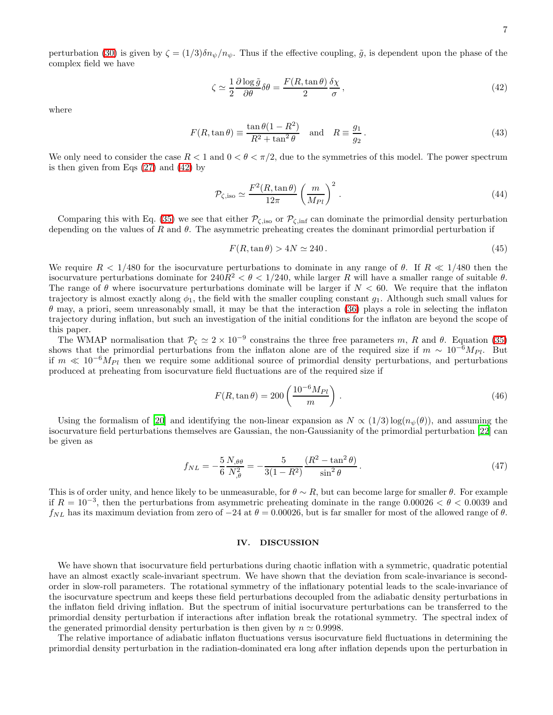<span id="page-6-0"></span>perturbation [\(30\)](#page-3-2) is given by  $\zeta = (1/3)\delta n_{\psi}/n_{\psi}$ . Thus if the effective coupling,  $\tilde{g}$ , is dependent upon the phase of the complex field we have

$$
\zeta \simeq \frac{1}{2} \frac{\partial \log \tilde{g}}{\partial \theta} \delta \theta = \frac{F(R, \tan \theta)}{2} \frac{\delta \chi}{\sigma},\tag{42}
$$

where

<span id="page-6-1"></span>
$$
F(R, \tan \theta) \equiv \frac{\tan \theta (1 - R^2)}{R^2 + \tan^2 \theta} \quad \text{and} \quad R \equiv \frac{g_1}{g_2} \,. \tag{43}
$$

We only need to consider the case  $R < 1$  and  $0 < \theta < \pi/2$ , due to the symmetries of this model. The power spectrum is then given from Eqs [\(27\)](#page-3-3) and [\(42\)](#page-6-0) by

$$
\mathcal{P}_{\zeta,\text{iso}} \simeq \frac{F^2(R,\tan\theta)}{12\pi} \left(\frac{m}{M_{Pl}}\right)^2. \tag{44}
$$

Comparing this with Eq. [\(35\)](#page-4-1) we see that either  $\mathcal{P}_{\zeta,\text{iso}}$  or  $\mathcal{P}_{\zeta,\text{inf}}$  can dominate the primordial density perturbation depending on the values of R and  $\theta$ . The asymmetric preheating creates the dominant primordial perturbation if

$$
F(R, \tan \theta) > 4N \simeq 240. \tag{45}
$$

We require  $R < 1/480$  for the isocurvature perturbations to dominate in any range of  $\theta$ . If  $R \ll 1/480$  then the isocurvature perturbations dominate for  $240R^2 < \theta < 1/240$ , while larger R will have a smaller range of suitable  $\theta$ . The range of  $\theta$  where isocurvature perturbations dominate will be larger if  $N < 60$ . We require that the inflaton trajectory is almost exactly along  $\phi_1$ , the field with the smaller coupling constant  $g_1$ . Although such small values for  $\theta$  may, a priori, seem unreasonably small, it may be that the interaction [\(36\)](#page-5-0) plays a role in selecting the inflaton trajectory during inflation, but such an investigation of the initial conditions for the inflaton are beyond the scope of this paper.

The WMAP normalisation that  $\mathcal{P}_{\zeta} \simeq 2 \times 10^{-9}$  constrains the three free parameters m, R and  $\theta$ . Equation [\(35\)](#page-4-1) shows that the primordial perturbations from the inflaton alone are of the required size if  $m \sim 10^{-6} M_{Pl}$ . But if  $m \ll 10^{-6}M_{Pl}$  then we require some additional source of primordial density perturbations, and perturbations produced at preheating from isocurvature field fluctuations are of the required size if

$$
F(R, \tan \theta) = 200 \left( \frac{10^{-6} M_{Pl}}{m} \right). \tag{46}
$$

Using the formalism of [\[20\]](#page-9-19) and identifying the non-linear expansion as  $N \propto (1/3) \log(n_{\psi}(\theta))$ , and assuming the isocurvature field perturbations themselves are Gaussian, the non-Gaussianity of the primordial perturbation [\[22\]](#page-9-21) can be given as

$$
f_{NL} = -\frac{5}{6} \frac{N_{,\theta\theta}}{N_{,\theta}^2} = -\frac{5}{3(1 - R^2)} \frac{(R^2 - \tan^2 \theta)}{\sin^2 \theta}.
$$
 (47)

This is of order unity, and hence likely to be unmeasurable, for  $\theta \sim R$ , but can become large for smaller  $\theta$ . For example if  $R = 10^{-3}$ , then the perturbations from asymmetric preheating dominate in the range 0.00026 <  $\theta$  < 0.0039 and  $f_{NL}$  has its maximum deviation from zero of  $-24$  at  $\theta = 0.00026$ , but is far smaller for most of the allowed range of  $\theta$ .

#### IV. DISCUSSION

We have shown that isocurvature field perturbations during chaotic inflation with a symmetric, quadratic potential have an almost exactly scale-invariant spectrum. We have shown that the deviation from scale-invariance is secondorder in slow-roll parameters. The rotational symmetry of the inflationary potential leads to the scale-invariance of the isocurvature spectrum and keeps these field perturbations decoupled from the adiabatic density perturbations in the inflaton field driving inflation. But the spectrum of initial isocurvature perturbations can be transferred to the primordial density perturbation if interactions after inflation break the rotational symmetry. The spectral index of the generated primordial density perturbation is then given by  $n \approx 0.9998$ .

The relative importance of adiabatic inflaton fluctuations versus isocurvature field fluctuations in determining the primordial density perturbation in the radiation-dominated era long after inflation depends upon the perturbation in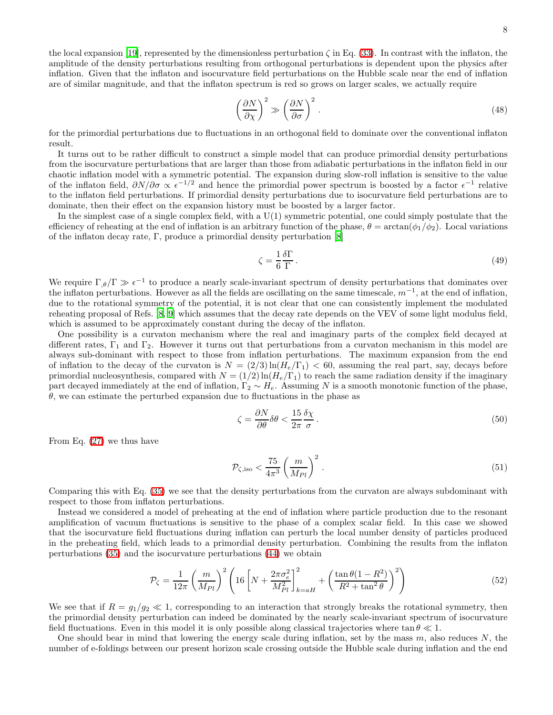the local expansion [\[19\]](#page-9-18), represented by the dimensionless perturbation  $\zeta$  in Eq. [\(33\)](#page-4-0). In contrast with the inflaton, the amplitude of the density perturbations resulting from orthogonal perturbations is dependent upon the physics after inflation. Given that the inflaton and isocurvature field perturbations on the Hubble scale near the end of inflation are of similar magnitude, and that the inflaton spectrum is red so grows on larger scales, we actually require

$$
\left(\frac{\partial N}{\partial \chi}\right)^2 \gg \left(\frac{\partial N}{\partial \sigma}\right)^2.
$$
\n(48)

for the primordial perturbations due to fluctuations in an orthogonal field to dominate over the conventional inflaton result.

It turns out to be rather difficult to construct a simple model that can produce primordial density perturbations from the isocurvature perturbations that are larger than those from adiabatic perturbations in the inflaton field in our chaotic inflation model with a symmetric potential. The expansion during slow-roll inflation is sensitive to the value of the inflaton field,  $\partial N/\partial \sigma \propto \epsilon^{-1/2}$  and hence the primordial power spectrum is boosted by a factor  $\epsilon^{-1}$  relative to the inflaton field perturbations. If primordial density perturbations due to isocurvature field perturbations are to dominate, then their effect on the expansion history must be boosted by a larger factor.

In the simplest case of a single complex field, with a U(1) symmetric potential, one could simply postulate that the efficiency of reheating at the end of inflation is an arbitrary function of the phase,  $\theta = \arctan(\phi_1/\phi_2)$ . Local variations of the inflaton decay rate, Γ, produce a primordial density perturbation [\[8\]](#page-9-7)

$$
\zeta = \frac{1}{6} \frac{\delta \Gamma}{\Gamma} \,. \tag{49}
$$

We require  $\Gamma_{,\theta}/\Gamma \gg \epsilon^{-1}$  to produce a nearly scale-invariant spectrum of density perturbations that dominates over the inflaton perturbations. However as all the fields are oscillating on the same timescale,  $m^{-1}$ , at the end of inflation, due to the rotational symmetry of the potential, it is not clear that one can consistently implement the modulated reheating proposal of Refs. [\[8,](#page-9-7) [9\]](#page-9-8) which assumes that the decay rate depends on the VEV of some light modulus field, which is assumed to be approximately constant during the decay of the inflaton.

One possibility is a curvaton mechanism where the real and imaginary parts of the complex field decayed at different rates,  $\Gamma_1$  and  $\Gamma_2$ . However it turns out that perturbations from a curvaton mechanism in this model are always sub-dominant with respect to those from inflation perturbations. The maximum expansion from the end of inflation to the decay of the curvaton is  $N = (2/3) \ln(H_e/\Gamma_1) < 60$ , assuming the real part, say, decays before primordial nucleosynthesis, compared with  $N = (1/2) \ln(H_e/\Gamma_1)$  to reach the same radiation density if the imaginary part decayed immediately at the end of inflation,  $\Gamma_2 \sim H_e$ . Assuming N is a smooth monotonic function of the phase,  $\theta$ , we can estimate the perturbed expansion due to fluctuations in the phase as

$$
\zeta = \frac{\partial N}{\partial \theta} \delta \theta < \frac{15}{2\pi} \frac{\delta \chi}{\sigma} \,. \tag{50}
$$

From Eq. [\(27\)](#page-3-3) we thus have

<span id="page-7-0"></span>
$$
\mathcal{P}_{\zeta,\mathrm{iso}} < \frac{75}{4\pi^3} \left(\frac{m}{M_{Pl}}\right)^2. \tag{51}
$$

Comparing this with Eq. [\(35\)](#page-4-1) we see that the density perturbations from the curvaton are always subdominant with respect to those from inflaton perturbations.

Instead we considered a model of preheating at the end of inflation where particle production due to the resonant amplification of vacuum fluctuations is sensitive to the phase of a complex scalar field. In this case we showed that the isocurvature field fluctuations during inflation can perturb the local number density of particles produced in the preheating field, which leads to a primordial density perturbation. Combining the results from the inflaton perturbations [\(35\)](#page-4-1) and the isocurvature perturbations [\(44\)](#page-6-1) we obtain

$$
\mathcal{P}_{\zeta} = \frac{1}{12\pi} \left(\frac{m}{M_{Pl}}\right)^2 \left(16\left[N + \frac{2\pi\sigma_e^2}{M_{Pl}^2}\right]_{k=aH}^2 + \left(\frac{\tan\theta(1 - R^2)}{R^2 + \tan^2\theta}\right)^2\right) \tag{52}
$$

We see that if  $R = g_1/g_2 \ll 1$ , corresponding to an interaction that strongly breaks the rotational symmetry, then the primordial density perturbation can indeed be dominated by the nearly scale-invariant spectrum of isocurvature field fluctuations. Even in this model it is only possible along classical trajectories where  $\tan \theta \ll 1$ .

One should bear in mind that lowering the energy scale during inflation, set by the mass  $m$ , also reduces  $N$ , the number of e-foldings between our present horizon scale crossing outside the Hubble scale during inflation and the end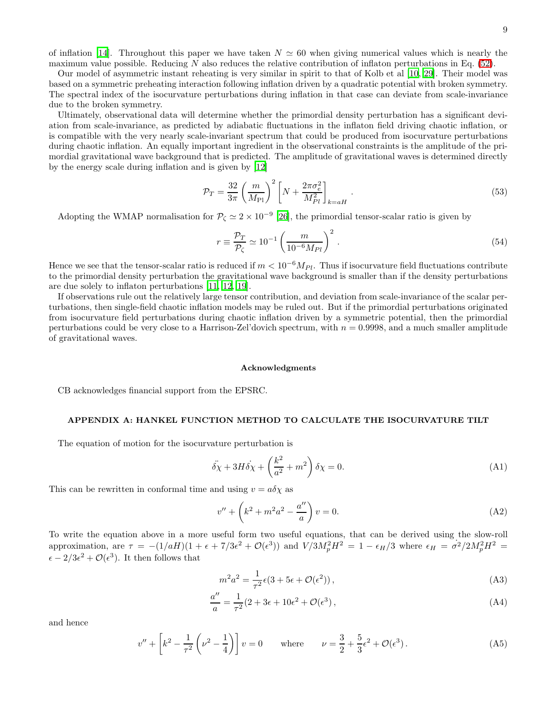of inflation [\[14](#page-9-13)]. Throughout this paper we have taken  $N \approx 60$  when giving numerical values which is nearly the maximum value possible. Reducing N also reduces the relative contribution of inflaton perturbations in Eq.  $(52)$ .

Our model of asymmetric instant reheating is very similar in spirit to that of Kolb et al [\[10,](#page-9-9) [29\]](#page-9-28). Their model was based on a symmetric preheating interaction following inflation driven by a quadratic potential with broken symmetry. The spectral index of the isocurvature perturbations during inflation in that case can deviate from scale-invariance due to the broken symmetry.

Ultimately, observational data will determine whether the primordial density perturbation has a significant deviation from scale-invariance, as predicted by adiabatic fluctuations in the inflaton field driving chaotic inflation, or is compatible with the very nearly scale-invariant spectrum that could be produced from isocurvature perturbations during chaotic inflation. An equally important ingredient in the observational constraints is the amplitude of the primordial gravitational wave background that is predicted. The amplitude of gravitational waves is determined directly by the energy scale during inflation and is given by [\[12\]](#page-9-11)

$$
\mathcal{P}_T = \frac{32}{3\pi} \left(\frac{m}{M_{\text{Pl}}}\right)^2 \left[N + \frac{2\pi\sigma_e^2}{M_{Pl}^2}\right]_{k=aH}.
$$
\n(53)

Adopting the WMAP normalisation for  $P_{\zeta} \simeq 2 \times 10^{-9}$  [\[26\]](#page-9-25), the primordial tensor-scalar ratio is given by

$$
r \equiv \frac{\mathcal{P}_T}{\mathcal{P}_\zeta} \simeq 10^{-1} \left(\frac{m}{10^{-6} M_{Pl}}\right)^2.
$$
\n(54)

Hence we see that the tensor-scalar ratio is reduced if  $m < 10^{-6} M_{Pl}$ . Thus if isocurvature field fluctuations contribute to the primordial density perturbation the gravitational wave background is smaller than if the density perturbations are due solely to inflaton perturbations [\[11,](#page-9-10) [12,](#page-9-11) [19\]](#page-9-18).

If observations rule out the relatively large tensor contribution, and deviation from scale-invariance of the scalar perturbations, then single-field chaotic inflation models may be ruled out. But if the primordial perturbations originated from isocurvature field perturbations during chaotic inflation driven by a symmetric potential, then the primordial perturbations could be very close to a Harrison-Zel'dovich spectrum, with  $n = 0.9998$ , and a much smaller amplitude of gravitational waves.

### Acknowledgments

<span id="page-8-0"></span>CB acknowledges financial support from the EPSRC.

### APPENDIX A: HANKEL FUNCTION METHOD TO CALCULATE THE ISOCURVATURE TILT

The equation of motion for the isocurvature perturbation is

$$
\ddot{\delta\chi} + 3H\dot{\delta\chi} + \left(\frac{k^2}{a^2} + m^2\right)\delta\chi = 0.
$$
 (A1)

This can be rewritten in conformal time and using  $v = a\delta\chi$  as

$$
v'' + \left(k^2 + m^2 a^2 - \frac{a''}{a}\right)v = 0.
$$
 (A2)

To write the equation above in a more useful form two useful equations, that can be derived using the slow-roll approximation, are  $\tau = -(1/aH)(1 + \epsilon + 7/3\epsilon^2 + \mathcal{O}(\epsilon^3))$  and  $V/3M_p^2H^2 = 1 - \epsilon_H/3$  where  $\epsilon_H = \sigma^2/2M_p^2H^2 =$  $\epsilon - 2/3\epsilon^2 + \mathcal{O}(\epsilon^3)$ . It then follows that

$$
m^2 a^2 = \frac{1}{\tau^2} \epsilon (3 + 5\epsilon + \mathcal{O}(\epsilon^2)), \tag{A3}
$$

$$
\frac{a''}{a} = \frac{1}{\tau^2} (2 + 3\epsilon + 10\epsilon^2 + \mathcal{O}(\epsilon^3)),\tag{A4}
$$

and hence

$$
v'' + \left[k^2 - \frac{1}{\tau^2} \left(\nu^2 - \frac{1}{4}\right)\right] v = 0 \quad \text{where} \quad \nu = \frac{3}{2} + \frac{5}{3}\epsilon^2 + \mathcal{O}(\epsilon^3). \tag{A5}
$$